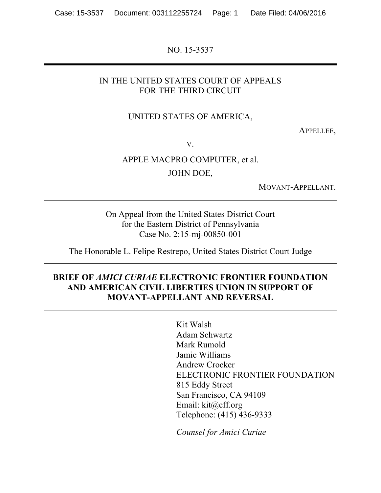NO. 15-3537

#### IN THE UNITED STATES COURT OF APPEALS FOR THE THIRD CIRCUIT

#### UNITED STATES OF AMERICA,

APPELLEE,

V.

## APPLE MACPRO COMPUTER, et al. JOHN DOE,

MOVANT-APPELLANT.

On Appeal from the United States District Court for the Eastern District of Pennsylvania Case No. 2:15-mj-00850-001

The Honorable L. Felipe Restrepo, United States District Court Judge

#### **BRIEF OF** *AMICI CURIAE* **ELECTRONIC FRONTIER FOUNDATION AND AMERICAN CIVIL LIBERTIES UNION IN SUPPORT OF MOVANT-APPELLANT AND REVERSAL**

Kit Walsh Adam Schwartz Mark Rumold Jamie Williams Andrew Crocker ELECTRONIC FRONTIER FOUNDATION 815 Eddy Street San Francisco, CA 94109 Email: kit@eff.org Telephone: (415) 436-9333

*Counsel for Amici Curiae*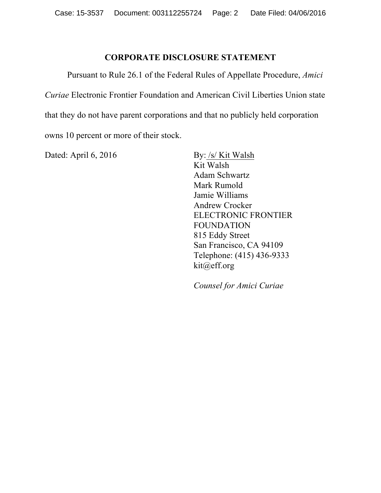### **CORPORATE DISCLOSURE STATEMENT**

Pursuant to Rule 26.1 of the Federal Rules of Appellate Procedure, *Amici Curiae* Electronic Frontier Foundation and American Civil Liberties Union state that they do not have parent corporations and that no publicly held corporation owns 10 percent or more of their stock.

Dated: April 6, 2016 By: /s/ Kit Walsh

Kit Walsh Adam Schwartz Mark Rumold Jamie Williams Andrew Crocker ELECTRONIC FRONTIER FOUNDATION 815 Eddy Street San Francisco, CA 94109 Telephone: (415) 436-9333 kit@eff.org

*Counsel for Amici Curiae*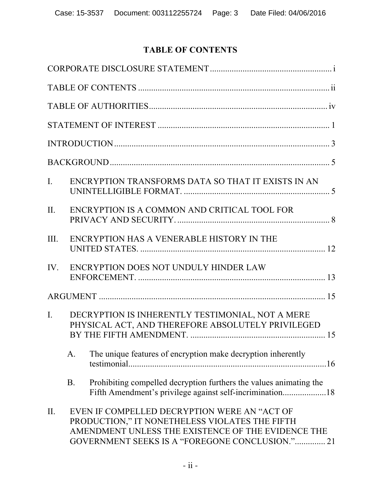# **TABLE OF CONTENTS**

| $\mathbf{I}$ . | ENCRYPTION TRANSFORMS DATA SO THAT IT EXISTS IN AN                                                                                                                                                      |  |
|----------------|---------------------------------------------------------------------------------------------------------------------------------------------------------------------------------------------------------|--|
| II.            | ENCRYPTION IS A COMMON AND CRITICAL TOOL FOR                                                                                                                                                            |  |
| III.           | ENCRYPTION HAS A VENERABLE HISTORY IN THE                                                                                                                                                               |  |
|                | IV. ENCRYPTION DOES NOT UNDULY HINDER LAW                                                                                                                                                               |  |
|                |                                                                                                                                                                                                         |  |
| $\mathbf{I}$ . | DECRYPTION IS INHERENTLY TESTIMONIAL, NOT A MERE<br>PHYSICAL ACT, AND THEREFORE ABSOLUTELY PRIVILEGED                                                                                                   |  |
|                | The unique features of encryption make decryption inherently<br>A.                                                                                                                                      |  |
|                | Prohibiting compelled decryption furthers the values animating the<br><b>B.</b><br>Fifth Amendment's privilege against self-incrimination18                                                             |  |
| П.             | EVEN IF COMPELLED DECRYPTION WERE AN "ACT OF<br>PRODUCTION," IT NONETHELESS VIOLATES THE FIFTH<br>AMENDMENT UNLESS THE EXISTENCE OF THE EVIDENCE THE<br>GOVERNMENT SEEKS IS A "FOREGONE CONCLUSION." 21 |  |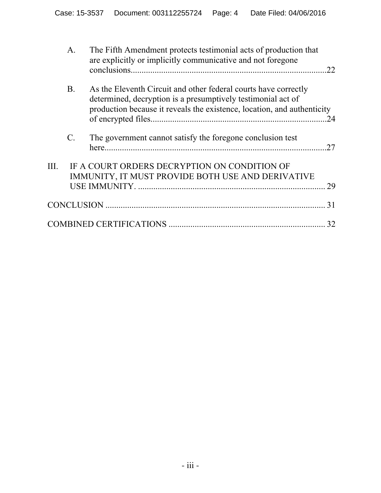|     | $\mathbf{A}$ .  | The Fifth Amendment protects testimonial acts of production that<br>are explicitly or implicitly communicative and not foregone                                                                            | 22 |
|-----|-----------------|------------------------------------------------------------------------------------------------------------------------------------------------------------------------------------------------------------|----|
|     | <b>B</b> .      | As the Eleventh Circuit and other federal courts have correctly<br>determined, decryption is a presumptively testimonial act of<br>production because it reveals the existence, location, and authenticity | 24 |
|     | $\mathcal{C}$ . | The government cannot satisfy the foregone conclusion test                                                                                                                                                 | 27 |
| HL. |                 | IF A COURT ORDERS DECRYPTION ON CONDITION OF<br>IMMUNITY, IT MUST PROVIDE BOTH USE AND DERIVATIVE                                                                                                          | 29 |
|     |                 |                                                                                                                                                                                                            | 31 |
|     |                 |                                                                                                                                                                                                            | 32 |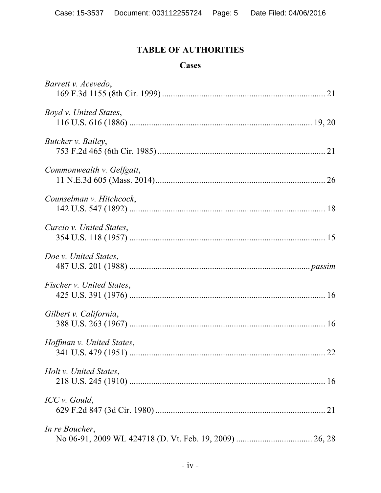## **TABLE OF AUTHORITIES**

#### **Cases**

| Barrett v. Acevedo,       |  |
|---------------------------|--|
| Boyd v. United States,    |  |
| Butcher v. Bailey,        |  |
| Commonwealth v. Gelfgatt, |  |
| Counselman v. Hitchcock,  |  |
| Curcio v. United States,  |  |
| Doe v. United States,     |  |
| Fischer v. United States, |  |
| Gilbert v. California,    |  |
| Hoffman v. United States, |  |
| Holt v. United States,    |  |
| ICC v. Gould,             |  |
| In re Boucher,            |  |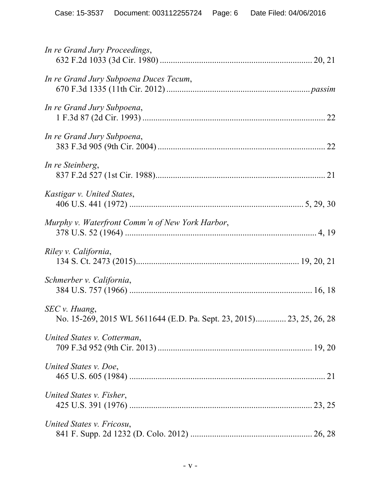| In re Grand Jury Proceedings,                                                         |  |
|---------------------------------------------------------------------------------------|--|
| In re Grand Jury Subpoena Duces Tecum,                                                |  |
| In re Grand Jury Subpoena,                                                            |  |
| In re Grand Jury Subpoena,                                                            |  |
| In re Steinberg,                                                                      |  |
| Kastigar v. United States,                                                            |  |
| Murphy v. Waterfront Comm'n of New York Harbor,                                       |  |
| Riley v. California,                                                                  |  |
| Schmerber v. California,                                                              |  |
| SEC v. Huang,<br>No. 15-269, 2015 WL 5611644 (E.D. Pa. Sept. 23, 2015) 23, 25, 26, 28 |  |
| United States v. Cotterman,                                                           |  |
| United States v. Doe,                                                                 |  |
| United States v. Fisher,                                                              |  |
| United States v. Fricosu,                                                             |  |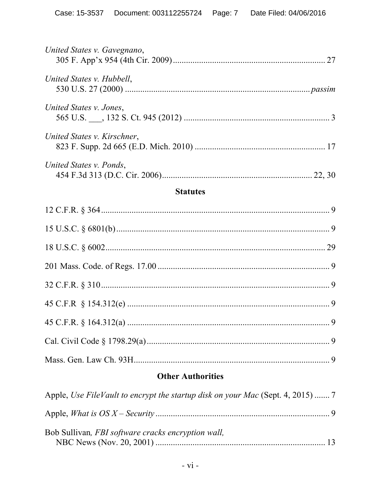| United States v. Gavegnano, |
|-----------------------------|
| United States v. Hubbell,   |
| United States v. Jones,     |
| United States v. Kirschner, |
| United States v. Ponds,     |
| <b>Statutes</b>             |
|                             |
|                             |
|                             |
|                             |
|                             |
|                             |
| .9                          |
|                             |
|                             |

# **Other Authorities**

| Bob Sullivan, FBI software cracks encryption wall, |  |
|----------------------------------------------------|--|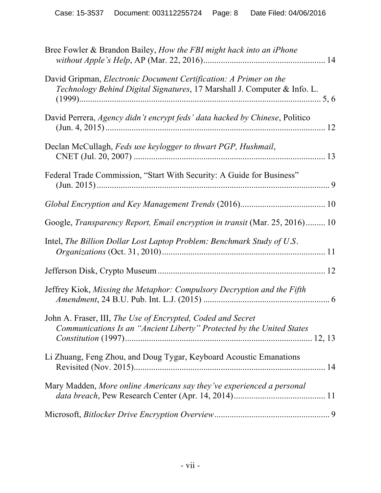| Bree Fowler & Brandon Bailey, How the FBI might hack into an iPhone                                                                           |  |
|-----------------------------------------------------------------------------------------------------------------------------------------------|--|
| David Gripman, Electronic Document Certification: A Primer on the<br>Technology Behind Digital Signatures, 17 Marshall J. Computer & Info. L. |  |
| David Perrera, <i>Agency didn't encrypt feds' data hacked by Chinese</i> , Politico                                                           |  |
| Declan McCullagh, Feds use keylogger to thwart PGP, Hushmail,                                                                                 |  |
| Federal Trade Commission, "Start With Security: A Guide for Business"                                                                         |  |
|                                                                                                                                               |  |
| Google, Transparency Report, Email encryption in transit (Mar. 25, 2016) 10                                                                   |  |
| Intel, The Billion Dollar Lost Laptop Problem: Benchmark Study of U.S.                                                                        |  |
|                                                                                                                                               |  |
| Jeffrey Kiok, Missing the Metaphor: Compulsory Decryption and the Fifth                                                                       |  |
| John A. Fraser, III, The Use of Encrypted, Coded and Secret<br>Communications Is an "Ancient Liberty" Protected by the United States          |  |
| Li Zhuang, Feng Zhou, and Doug Tygar, Keyboard Acoustic Emanations                                                                            |  |
| Mary Madden, More online Americans say they've experienced a personal                                                                         |  |
|                                                                                                                                               |  |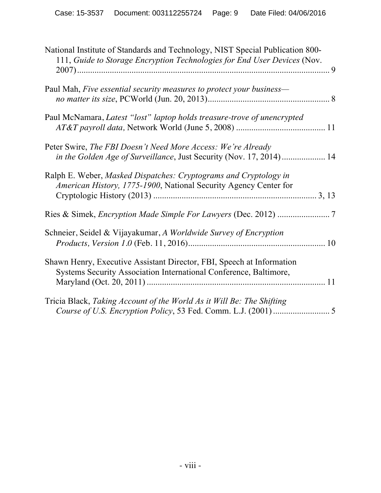| National Institute of Standards and Technology, NIST Special Publication 800-<br>111, Guide to Storage Encryption Technologies for End User Devices (Nov. |
|-----------------------------------------------------------------------------------------------------------------------------------------------------------|
| Paul Mah, Five essential security measures to protect your business—                                                                                      |
|                                                                                                                                                           |
| Paul McNamara, Latest "lost" laptop holds treasure-trove of unencrypted                                                                                   |
|                                                                                                                                                           |
| Peter Swire, The FBI Doesn't Need More Access: We're Already                                                                                              |
| in the Golden Age of Surveillance, Just Security (Nov. 17, 2014) 14                                                                                       |
| Ralph E. Weber, Masked Dispatches: Cryptograms and Cryptology in<br>American History, 1775-1900, National Security Agency Center for                      |
|                                                                                                                                                           |
|                                                                                                                                                           |
| Schneier, Seidel & Vijayakumar, A Worldwide Survey of Encryption                                                                                          |
| Shawn Henry, Executive Assistant Director, FBI, Speech at Information<br>Systems Security Association International Conference, Baltimore,                |
| Tricia Black, Taking Account of the World As it Will Be: The Shifting                                                                                     |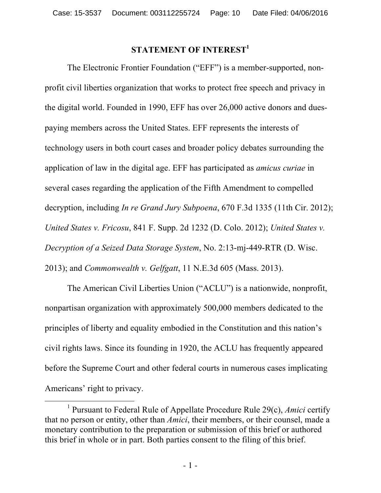## **STATEMENT OF INTEREST<sup>1</sup>**

The Electronic Frontier Foundation ("EFF") is a member-supported, nonprofit civil liberties organization that works to protect free speech and privacy in the digital world. Founded in 1990, EFF has over 26,000 active donors and duespaying members across the United States. EFF represents the interests of technology users in both court cases and broader policy debates surrounding the application of law in the digital age. EFF has participated as *amicus curiae* in several cases regarding the application of the Fifth Amendment to compelled decryption, including *In re Grand Jury Subpoena*, 670 F.3d 1335 (11th Cir. 2012); *United States v. Fricosu*, 841 F. Supp. 2d 1232 (D. Colo. 2012); *United States v. Decryption of a Seized Data Storage System*, No. 2:13-mj-449-RTR (D. Wisc. 2013); and *Commonwealth v. Gelfgatt*, 11 N.E.3d 605 (Mass. 2013).

The American Civil Liberties Union ("ACLU") is a nationwide, nonprofit, nonpartisan organization with approximately 500,000 members dedicated to the principles of liberty and equality embodied in the Constitution and this nation's civil rights laws. Since its founding in 1920, the ACLU has frequently appeared before the Supreme Court and other federal courts in numerous cases implicating Americans' right to privacy.

 <sup>1</sup> Pursuant to Federal Rule of Appellate Procedure Rule 29(c), *Amici* certify that no person or entity, other than *Amici*, their members, or their counsel, made a monetary contribution to the preparation or submission of this brief or authored this brief in whole or in part. Both parties consent to the filing of this brief.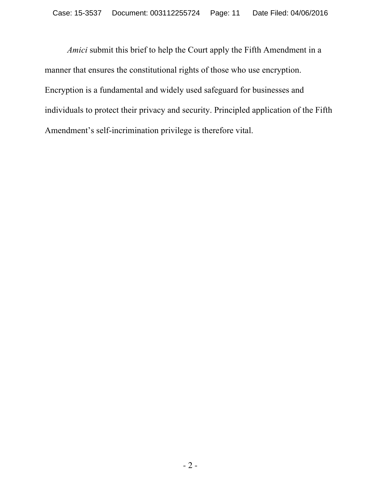*Amici* submit this brief to help the Court apply the Fifth Amendment in a manner that ensures the constitutional rights of those who use encryption. Encryption is a fundamental and widely used safeguard for businesses and individuals to protect their privacy and security. Principled application of the Fifth Amendment's self-incrimination privilege is therefore vital.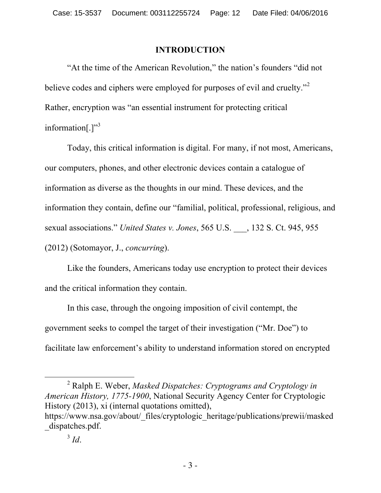### **INTRODUCTION**

"At the time of the American Revolution," the nation's founders "did not believe codes and ciphers were employed for purposes of evil and cruelty."<sup>2</sup> Rather, encryption was "an essential instrument for protecting critical information[.] $"$ <sup>3</sup>

Today, this critical information is digital. For many, if not most, Americans, our computers, phones, and other electronic devices contain a catalogue of information as diverse as the thoughts in our mind. These devices, and the information they contain, define our "familial, political, professional, religious, and sexual associations." *United States v. Jones*, 565 U.S. \_\_\_, 132 S. Ct. 945, 955 (2012) (Sotomayor, J., *concurring*).

Like the founders, Americans today use encryption to protect their devices and the critical information they contain.

In this case, through the ongoing imposition of civil contempt, the government seeks to compel the target of their investigation ("Mr. Doe") to facilitate law enforcement's ability to understand information stored on encrypted

 <sup>2</sup> Ralph E. Weber, *Masked Dispatches: Cryptograms and Cryptology in American History, 1775-1900*, National Security Agency Center for Cryptologic History (2013), xi (internal quotations omitted),

https://www.nsa.gov/about/\_files/cryptologic\_heritage/publications/prewii/masked dispatches.pdf.

 $3 \dot{d}$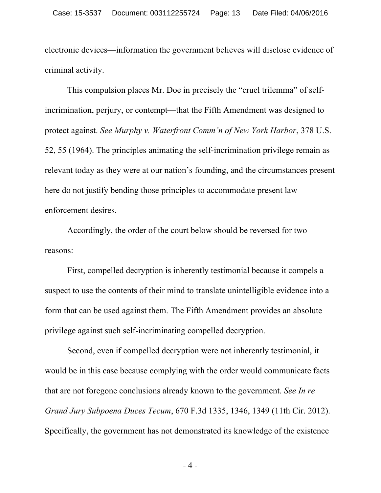electronic devices—information the government believes will disclose evidence of criminal activity.

This compulsion places Mr. Doe in precisely the "cruel trilemma" of selfincrimination, perjury, or contempt—that the Fifth Amendment was designed to protect against. *See Murphy v. Waterfront Comm'n of New York Harbor*, 378 U.S. 52, 55 (1964). The principles animating the self-incrimination privilege remain as relevant today as they were at our nation's founding, and the circumstances present here do not justify bending those principles to accommodate present law enforcement desires.

Accordingly, the order of the court below should be reversed for two reasons:

First, compelled decryption is inherently testimonial because it compels a suspect to use the contents of their mind to translate unintelligible evidence into a form that can be used against them. The Fifth Amendment provides an absolute privilege against such self-incriminating compelled decryption.

Second, even if compelled decryption were not inherently testimonial, it would be in this case because complying with the order would communicate facts that are not foregone conclusions already known to the government. *See In re Grand Jury Subpoena Duces Tecum*, 670 F.3d 1335, 1346, 1349 (11th Cir. 2012). Specifically, the government has not demonstrated its knowledge of the existence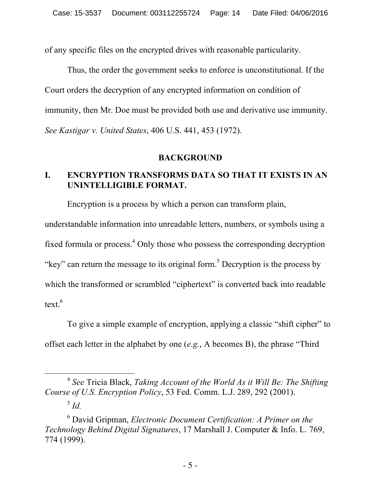of any specific files on the encrypted drives with reasonable particularity.

Thus, the order the government seeks to enforce is unconstitutional. If the Court orders the decryption of any encrypted information on condition of immunity, then Mr. Doe must be provided both use and derivative use immunity. *See Kastigar v. United States*, 406 U.S. 441, 453 (1972).

#### **BACKGROUND**

### **I. ENCRYPTION TRANSFORMS DATA SO THAT IT EXISTS IN AN UNINTELLIGIBLE FORMAT.**

Encryption is a process by which a person can transform plain, understandable information into unreadable letters, numbers, or symbols using a fixed formula or process.4 Only those who possess the corresponding decryption "key" can return the message to its original form.<sup>5</sup> Decryption is the process by which the transformed or scrambled "ciphertext" is converted back into readable text.<sup>6</sup>

To give a simple example of encryption, applying a classic "shift cipher" to offset each letter in the alphabet by one (*e.g.*, A becomes B), the phrase "Third

 <sup>4</sup> *See* Tricia Black, *Taking Account of the World As it Will Be: The Shifting Course of U.S. Encryption Policy*, 53 Fed. Comm. L.J. 289, 292 (2001).

<sup>5</sup> *Id.*

<sup>6</sup> David Gripman, *Electronic Document Certification: A Primer on the Technology Behind Digital Signatures*, 17 Marshall J. Computer & Info. L. 769, 774 (1999).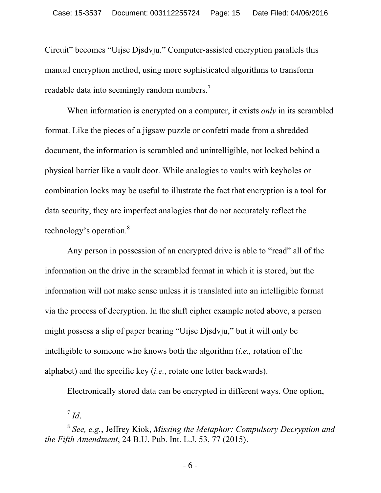Circuit" becomes "Uijse Djsdvju." Computer-assisted encryption parallels this manual encryption method, using more sophisticated algorithms to transform readable data into seemingly random numbers.<sup>7</sup>

When information is encrypted on a computer, it exists *only* in its scrambled format. Like the pieces of a jigsaw puzzle or confetti made from a shredded document, the information is scrambled and unintelligible, not locked behind a physical barrier like a vault door. While analogies to vaults with keyholes or combination locks may be useful to illustrate the fact that encryption is a tool for data security, they are imperfect analogies that do not accurately reflect the technology's operation.<sup>8</sup>

Any person in possession of an encrypted drive is able to "read" all of the information on the drive in the scrambled format in which it is stored, but the information will not make sense unless it is translated into an intelligible format via the process of decryption. In the shift cipher example noted above, a person might possess a slip of paper bearing "Uijse Djsdvju," but it will only be intelligible to someone who knows both the algorithm (*i.e.,* rotation of the alphabet) and the specific key (*i.e.*, rotate one letter backwards).

Electronically stored data can be encrypted in different ways. One option,

 <sup>7</sup> *Id*.

<sup>8</sup> *See, e.g.*, Jeffrey Kiok, *Missing the Metaphor: Compulsory Decryption and the Fifth Amendment*, 24 B.U. Pub. Int. L.J. 53, 77 (2015).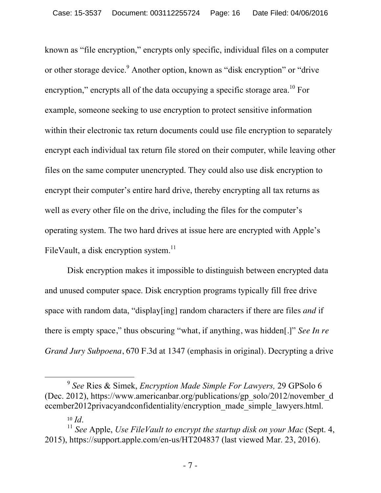known as "file encryption," encrypts only specific, individual files on a computer or other storage device.<sup>9</sup> Another option, known as "disk encryption" or "drive encryption," encrypts all of the data occupying a specific storage area.<sup>10</sup> For example, someone seeking to use encryption to protect sensitive information within their electronic tax return documents could use file encryption to separately encrypt each individual tax return file stored on their computer, while leaving other files on the same computer unencrypted. They could also use disk encryption to encrypt their computer's entire hard drive, thereby encrypting all tax returns as well as every other file on the drive, including the files for the computer's operating system. The two hard drives at issue here are encrypted with Apple's FileVault, a disk encryption system. $^{11}$ 

Disk encryption makes it impossible to distinguish between encrypted data and unused computer space. Disk encryption programs typically fill free drive space with random data, "display[ing] random characters if there are files *and* if there is empty space," thus obscuring "what, if anything, was hidden[.]" *See In re Grand Jury Subpoena*, 670 F.3d at 1347 (emphasis in original). Decrypting a drive

 <sup>9</sup> *See* Ries & Simek, *Encryption Made Simple For Lawyers,* 29 GPSolo 6 (Dec. 2012), https://www.americanbar.org/publications/gp\_solo/2012/november\_d ecember2012privacyandconfidentiality/encryption\_made\_simple\_lawyers.html.

<sup>&</sup>lt;sup>10</sup> *Id.* 10 *Id.* 10 *Id.* 10 *Let Apple, Use FileVault to encrypt the startup disk on your Mac* (Sept. 4, 2015), https://support.apple.com/en-us/HT204837 (last viewed Mar. 23, 2016).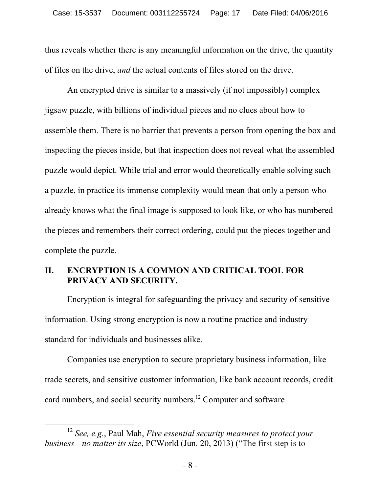thus reveals whether there is any meaningful information on the drive, the quantity of files on the drive, *and* the actual contents of files stored on the drive.

An encrypted drive is similar to a massively (if not impossibly) complex jigsaw puzzle, with billions of individual pieces and no clues about how to assemble them. There is no barrier that prevents a person from opening the box and inspecting the pieces inside, but that inspection does not reveal what the assembled puzzle would depict. While trial and error would theoretically enable solving such a puzzle, in practice its immense complexity would mean that only a person who already knows what the final image is supposed to look like, or who has numbered the pieces and remembers their correct ordering, could put the pieces together and complete the puzzle.

### **II. ENCRYPTION IS A COMMON AND CRITICAL TOOL FOR PRIVACY AND SECURITY.**

Encryption is integral for safeguarding the privacy and security of sensitive information. Using strong encryption is now a routine practice and industry standard for individuals and businesses alike.

Companies use encryption to secure proprietary business information, like trade secrets, and sensitive customer information, like bank account records, credit card numbers, and social security numbers.<sup>12</sup> Computer and software

 <sup>12</sup> *See, e.g.*, Paul Mah, *Five essential security measures to protect your business—no matter its size*, PCWorld (Jun. 20, 2013) ("The first step is to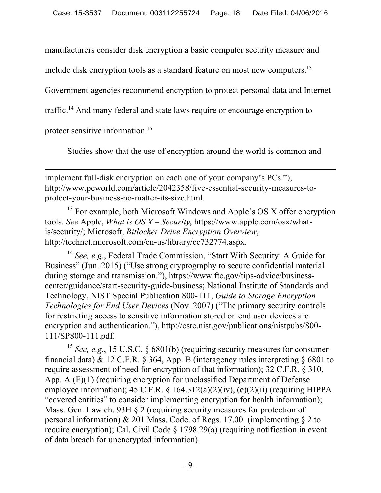manufacturers consider disk encryption a basic computer security measure and

include disk encryption tools as a standard feature on most new computers.<sup>13</sup>

Government agencies recommend encryption to protect personal data and Internet

traffic.<sup>14</sup> And many federal and state laws require or encourage encryption to

protect sensitive information.<sup>15</sup>

Studies show that the use of encryption around the world is common and

<u> 1989 - Andrea San Andrea San Andrea San Andrea San Andrea San Andrea San Andrea San Andrea San Andrea San An</u>

implement full-disk encryption on each one of your company's PCs."), http://www.pcworld.com/article/2042358/five-essential-security-measures-toprotect-your-business-no-matter-its-size.html.

<sup>13</sup> For example, both Microsoft Windows and Apple's OS X offer encryption tools. *See* Apple, *What is OS X – Security*, https://www.apple.com/osx/whatis/security/; Microsoft, *Bitlocker Drive Encryption Overview*, http://technet.microsoft.com/en-us/library/cc732774.aspx.

<sup>14</sup> See, e.g., Federal Trade Commission, "Start With Security: A Guide for Business" (Jun. 2015) ("Use strong cryptography to secure confidential material during storage and transmission."), https://www.ftc.gov/tips-advice/businesscenter/guidance/start-security-guide-business; National Institute of Standards and Technology, NIST Special Publication 800-111, *Guide to Storage Encryption Technologies for End User Devices* (Nov. 2007) ("The primary security controls for restricting access to sensitive information stored on end user devices are encryption and authentication."), http://csrc.nist.gov/publications/nistpubs/800- 111/SP800-111.pdf.

<sup>15</sup> *See, e.g.*, 15 U.S.C. § 6801(b) (requiring security measures for consumer financial data) & 12 C.F.R.  $\&$  364, App. B (interagency rules interpreting  $\&$  6801 to require assessment of need for encryption of that information); 32 C.F.R. § 310, App. A  $(E)(1)$  (requiring encryption for unclassified Department of Defense employee information);  $45$  C.F.R. §  $164.312(a)(2)(iv)$ ,  $(e)(2)(ii)$  (requiring HIPPA "covered entities" to consider implementing encryption for health information); Mass. Gen. Law ch. 93H § 2 (requiring security measures for protection of personal information)  $& 201$  Mass. Code. of Regs. 17.00 (implementing  $\S 2$  to require encryption); Cal. Civil Code § 1798.29(a) (requiring notification in event of data breach for unencrypted information).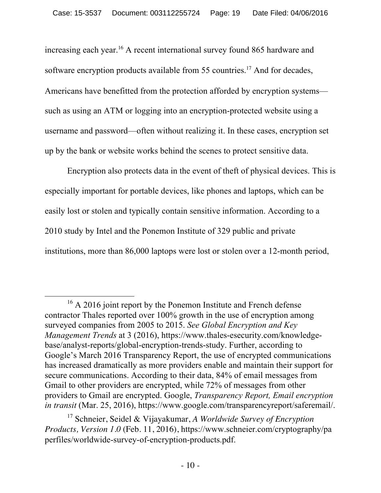increasing each year. <sup>16</sup> A recent international survey found 865 hardware and software encryption products available from 55 countries.<sup>17</sup> And for decades, Americans have benefitted from the protection afforded by encryption systems such as using an ATM or logging into an encryption-protected website using a username and password—often without realizing it. In these cases, encryption set up by the bank or website works behind the scenes to protect sensitive data.

Encryption also protects data in the event of theft of physical devices. This is especially important for portable devices, like phones and laptops, which can be easily lost or stolen and typically contain sensitive information. According to a 2010 study by Intel and the Ponemon Institute of 329 public and private institutions, more than 86,000 laptops were lost or stolen over a 12-month period,

<sup>&</sup>lt;sup>16</sup> A 2016 joint report by the Ponemon Institute and French defense contractor Thales reported over 100% growth in the use of encryption among surveyed companies from 2005 to 2015. *See Global Encryption and Key Management Trends* at 3 (2016), https://www.thales-esecurity.com/knowledgebase/analyst-reports/global-encryption-trends-study. Further, according to Google's March 2016 Transparency Report, the use of encrypted communications has increased dramatically as more providers enable and maintain their support for secure communications. According to their data, 84% of email messages from Gmail to other providers are encrypted, while 72% of messages from other providers to Gmail are encrypted. Google, *Transparency Report, Email encryption in transit* (Mar. 25, 2016), https://www.google.com/transparencyreport/saferemail/.

<sup>17</sup> Schneier, Seidel & Vijayakumar, *A Worldwide Survey of Encryption Products, Version 1.0* (Feb. 11, 2016), https://www.schneier.com/cryptography/pa perfiles/worldwide-survey-of-encryption-products.pdf.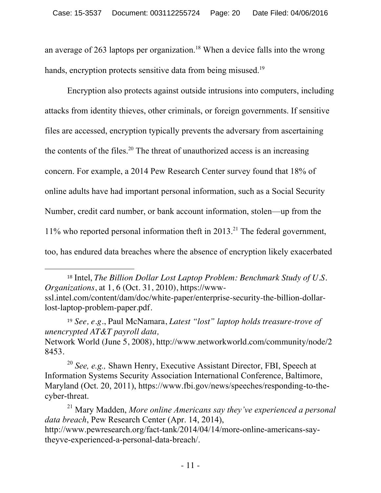an average of 263 laptops per organization. <sup>18</sup> When a device falls into the wrong hands, encryption protects sensitive data from being misused.<sup>19</sup>

Encryption also protects against outside intrusions into computers, including attacks from identity thieves, other criminals, or foreign governments. If sensitive files are accessed, encryption typically prevents the adversary from ascertaining the contents of the files.<sup>20</sup> The threat of unauthorized access is an increasing concern. For example, a 2014 Pew Research Center survey found that 18% of online adults have had important personal information, such as a Social Security Number, credit card number, or bank account information, stolen—up from the 11% who reported personal information theft in  $2013$ <sup>21</sup>. The federal government, too, has endured data breaches where the absence of encryption likely exacerbated

<sup>18</sup> Intel, *The Billion Dollar Lost Laptop Problem: Benchmark Study of U.S. Organizations*, at 1, 6 (Oct. 31, 2010), https://wwwssl.intel.com/content/dam/doc/white-paper/enterprise-security-the-billion-dollarlost-laptop-problem-paper.pdf.

 

<sup>19</sup> *See, e.g*., Paul McNamara, *Latest "lost" laptop holds treasure-trove of unencrypted AT&T payroll data,* 

Network World (June 5, 2008), http://www.networkworld.com/community/node/2 8453.

<sup>20</sup> *See, e.g.,* Shawn Henry, Executive Assistant Director, FBI, Speech at Information Systems Security Association International Conference, Baltimore, Maryland (Oct. 20, 2011), https://www.fbi.gov/news/speeches/responding-to-thecyber-threat.

<sup>21</sup> Mary Madden, *More online Americans say they've experienced a personal data breach*, Pew Research Center (Apr. 14, 2014), http://www.pewresearch.org/fact-tank/2014/04/14/more-online-americans-saytheyve-experienced-a-personal-data-breach/.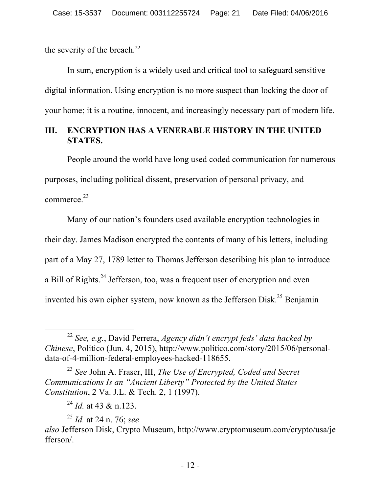the severity of the breach.<sup>22</sup>

In sum, encryption is a widely used and critical tool to safeguard sensitive digital information. Using encryption is no more suspect than locking the door of your home; it is a routine, innocent, and increasingly necessary part of modern life.

### **III. ENCRYPTION HAS A VENERABLE HISTORY IN THE UNITED STATES.**

People around the world have long used coded communication for numerous purposes, including political dissent, preservation of personal privacy, and commerce.23

Many of our nation's founders used available encryption technologies in their day. James Madison encrypted the contents of many of his letters, including part of a May 27, 1789 letter to Thomas Jefferson describing his plan to introduce a Bill of Rights.<sup>24</sup> Jefferson, too, was a frequent user of encryption and even invented his own cipher system, now known as the Jefferson Disk.<sup>25</sup> Benjamin

 <sup>22</sup> *See, e.g.*, David Perrera, *Agency didn't encrypt feds' data hacked by Chinese*, Politico (Jun. 4, 2015), http://www.politico.com/story/2015/06/personaldata-of-4-million-federal-employees-hacked-118655.

<sup>23</sup> *See* John A. Fraser, III, *The Use of Encrypted, Coded and Secret Communications Is an "Ancient Liberty" Protected by the United States Constitution*, 2 Va. J.L. & Tech. 2, 1 (1997).

<sup>24</sup> *Id.* at 43 & n.123.

<sup>25</sup> *Id.* at 24 n. 76; *see*

*also* Jefferson Disk, Crypto Museum, http://www.cryptomuseum.com/crypto/usa/je fferson/.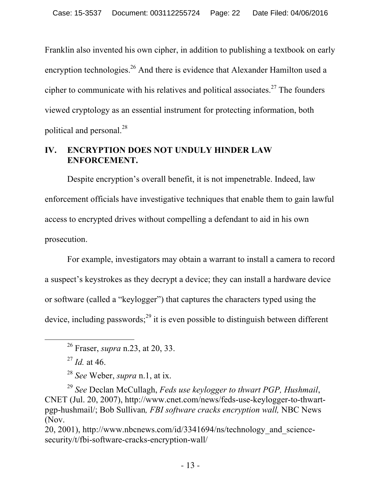Franklin also invented his own cipher, in addition to publishing a textbook on early encryption technologies.<sup>26</sup> And there is evidence that Alexander Hamilton used a cipher to communicate with his relatives and political associates.<sup>27</sup> The founders viewed cryptology as an essential instrument for protecting information, both political and personal.<sup>28</sup>

## **IV. ENCRYPTION DOES NOT UNDULY HINDER LAW ENFORCEMENT.**

Despite encryption's overall benefit, it is not impenetrable. Indeed, law enforcement officials have investigative techniques that enable them to gain lawful access to encrypted drives without compelling a defendant to aid in his own prosecution.

For example, investigators may obtain a warrant to install a camera to record a suspect's keystrokes as they decrypt a device; they can install a hardware device or software (called a "keylogger") that captures the characters typed using the device, including passwords; $^{29}$  it is even possible to distinguish between different

<sup>29</sup> *See* Declan McCullagh, *Feds use keylogger to thwart PGP, Hushmail*, CNET (Jul. 20, 2007), http://www.cnet.com/news/feds-use-keylogger-to-thwartpgp-hushmail/; Bob Sullivan*, FBI software cracks encryption wall,* NBC News (Nov.

20, 2001), http://www.nbcnews.com/id/3341694/ns/technology\_and\_sciencesecurity/t/fbi-software-cracks-encryption-wall/

 <sup>26</sup> Fraser, *supra* n.23, at 20, 33.

 $^{27}$  *Id.* at 46.

<sup>28</sup> *See* Weber, *supra* n.1, at ix.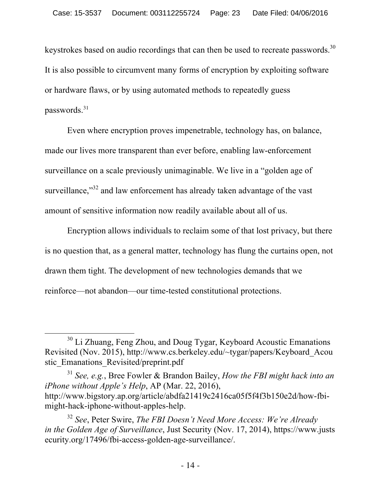keystrokes based on audio recordings that can then be used to recreate passwords.<sup>30</sup> It is also possible to circumvent many forms of encryption by exploiting software or hardware flaws, or by using automated methods to repeatedly guess passwords. 31

Even where encryption proves impenetrable, technology has, on balance, made our lives more transparent than ever before, enabling law-enforcement surveillance on a scale previously unimaginable. We live in a "golden age of surveillance, $\frac{32}{2}$  and law enforcement has already taken advantage of the vast amount of sensitive information now readily available about all of us.

Encryption allows individuals to reclaim some of that lost privacy, but there is no question that, as a general matter, technology has flung the curtains open, not drawn them tight. The development of new technologies demands that we reinforce—not abandon—our time-tested constitutional protections.

<sup>&</sup>lt;sup>30</sup> Li Zhuang, Feng Zhou, and Doug Tygar, Keyboard Acoustic Emanations Revisited (Nov. 2015), http://www.cs.berkeley.edu/~tygar/papers/Keyboard\_Acou stic\_Emanations\_Revisited/preprint.pdf

<sup>31</sup> *See, e.g.*, Bree Fowler & Brandon Bailey, *How the FBI might hack into an iPhone without Apple's Help*, AP (Mar. 22, 2016), http://www.bigstory.ap.org/article/abdfa21419c2416ca05f5f4f3b150e2d/how-fbimight-hack-iphone-without-apples-help.

<sup>32</sup> *See*, Peter Swire, *The FBI Doesn't Need More Access: We're Already in the Golden Age of Surveillance*, Just Security (Nov. 17, 2014), https://www.justs ecurity.org/17496/fbi-access-golden-age-surveillance/.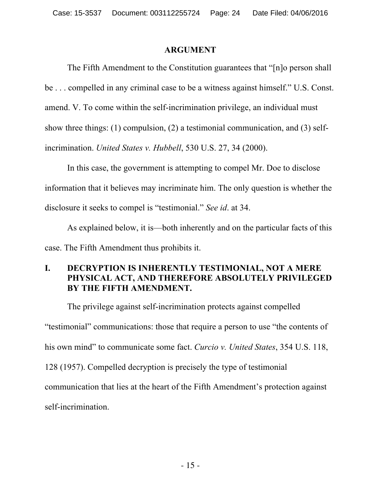#### **ARGUMENT**

The Fifth Amendment to the Constitution guarantees that "[n]o person shall be . . . compelled in any criminal case to be a witness against himself." U.S. Const. amend. V. To come within the self-incrimination privilege, an individual must show three things: (1) compulsion, (2) a testimonial communication, and (3) selfincrimination. *United States v. Hubbell*, 530 U.S. 27, 34 (2000).

In this case, the government is attempting to compel Mr. Doe to disclose information that it believes may incriminate him. The only question is whether the disclosure it seeks to compel is "testimonial." *See id*. at 34.

As explained below, it is—both inherently and on the particular facts of this case. The Fifth Amendment thus prohibits it.

### **I. DECRYPTION IS INHERENTLY TESTIMONIAL, NOT A MERE PHYSICAL ACT, AND THEREFORE ABSOLUTELY PRIVILEGED BY THE FIFTH AMENDMENT.**

The privilege against self-incrimination protects against compelled "testimonial" communications: those that require a person to use "the contents of his own mind" to communicate some fact. *Curcio v. United States*, 354 U.S. 118, 128 (1957). Compelled decryption is precisely the type of testimonial communication that lies at the heart of the Fifth Amendment's protection against self-incrimination.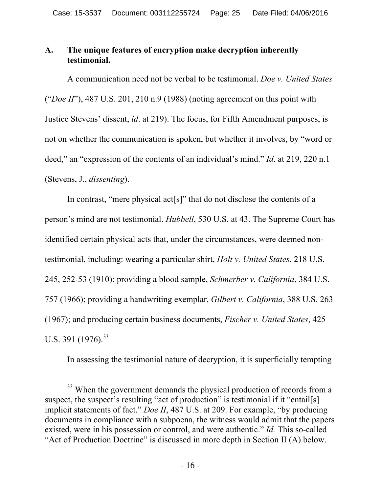### **A. The unique features of encryption make decryption inherently testimonial.**

A communication need not be verbal to be testimonial. *Doe v. United States*  ("*Doe II*"), 487 U.S. 201, 210 n.9 (1988) (noting agreement on this point with Justice Stevens' dissent, *id*. at 219). The focus, for Fifth Amendment purposes, is not on whether the communication is spoken, but whether it involves, by "word or deed," an "expression of the contents of an individual's mind." *Id*. at 219, 220 n.1 (Stevens, J., *dissenting*).

In contrast, "mere physical act<sup>[s]"</sup> that do not disclose the contents of a person's mind are not testimonial. *Hubbell*, 530 U.S. at 43. The Supreme Court has identified certain physical acts that, under the circumstances, were deemed nontestimonial, including: wearing a particular shirt, *Holt v. United States*, 218 U.S. 245, 252-53 (1910); providing a blood sample, *Schmerber v. California*, 384 U.S. 757 (1966); providing a handwriting exemplar, *Gilbert v. California*, 388 U.S. 263 (1967); and producing certain business documents, *Fischer v. United States*, 425 U.S. 391 (1976).<sup>33</sup>

In assessing the testimonial nature of decryption, it is superficially tempting

<sup>&</sup>lt;sup>33</sup> When the government demands the physical production of records from a suspect, the suspect's resulting "act of production" is testimonial if it "entail[s] implicit statements of fact." *Doe II*, 487 U.S. at 209. For example, "by producing documents in compliance with a subpoena, the witness would admit that the papers existed, were in his possession or control, and were authentic." *Id.* This so-called "Act of Production Doctrine" is discussed in more depth in Section II (A) below.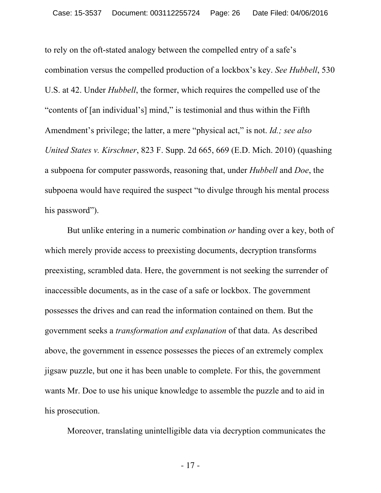to rely on the oft-stated analogy between the compelled entry of a safe's combination versus the compelled production of a lockbox's key. *See Hubbell*, 530 U.S. at 42. Under *Hubbell*, the former, which requires the compelled use of the "contents of [an individual's] mind," is testimonial and thus within the Fifth Amendment's privilege; the latter, a mere "physical act," is not. *Id.; see also United States v. Kirschner*, 823 F. Supp. 2d 665, 669 (E.D. Mich. 2010) (quashing a subpoena for computer passwords, reasoning that, under *Hubbell* and *Doe*, the subpoena would have required the suspect "to divulge through his mental process his password").

But unlike entering in a numeric combination *or* handing over a key, both of which merely provide access to preexisting documents, decryption transforms preexisting, scrambled data. Here, the government is not seeking the surrender of inaccessible documents, as in the case of a safe or lockbox. The government possesses the drives and can read the information contained on them. But the government seeks a *transformation and explanation* of that data. As described above, the government in essence possesses the pieces of an extremely complex jigsaw puzzle, but one it has been unable to complete. For this, the government wants Mr. Doe to use his unique knowledge to assemble the puzzle and to aid in his prosecution.

Moreover, translating unintelligible data via decryption communicates the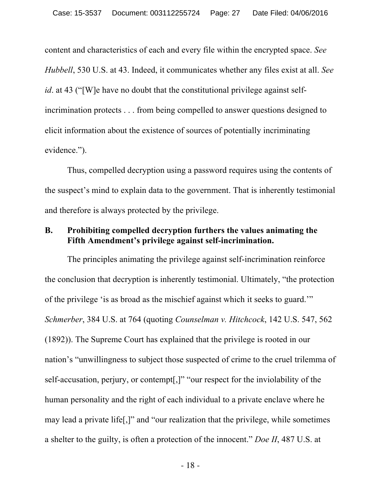content and characteristics of each and every file within the encrypted space. *See Hubbell*, 530 U.S. at 43. Indeed, it communicates whether any files exist at all. *See id*. at 43 ("[W]e have no doubt that the constitutional privilege against selfincrimination protects . . . from being compelled to answer questions designed to elicit information about the existence of sources of potentially incriminating evidence.").

Thus, compelled decryption using a password requires using the contents of the suspect's mind to explain data to the government. That is inherently testimonial and therefore is always protected by the privilege.

### **B. Prohibiting compelled decryption furthers the values animating the Fifth Amendment's privilege against self-incrimination.**

The principles animating the privilege against self-incrimination reinforce the conclusion that decryption is inherently testimonial. Ultimately, "the protection of the privilege 'is as broad as the mischief against which it seeks to guard.'" *Schmerber*, 384 U.S. at 764 (quoting *Counselman v. Hitchcock*, 142 U.S. 547, 562 (1892)). The Supreme Court has explained that the privilege is rooted in our nation's "unwillingness to subject those suspected of crime to the cruel trilemma of self-accusation, perjury, or contempt[,]" "our respect for the inviolability of the human personality and the right of each individual to a private enclave where he may lead a private life[,]" and "our realization that the privilege, while sometimes a shelter to the guilty, is often a protection of the innocent." *Doe II*, 487 U.S. at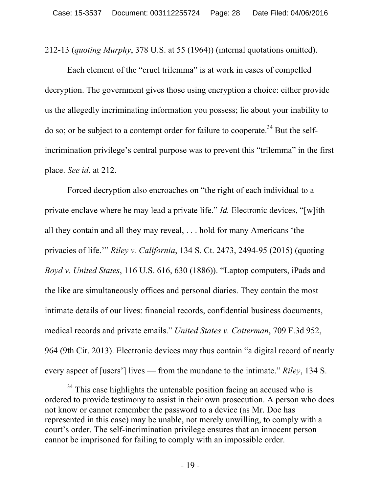212-13 (*quoting Murphy*, 378 U.S. at 55 (1964)) (internal quotations omitted).

Each element of the "cruel trilemma" is at work in cases of compelled decryption. The government gives those using encryption a choice: either provide us the allegedly incriminating information you possess; lie about your inability to do so; or be subject to a contempt order for failure to cooperate.<sup>34</sup> But the selfincrimination privilege's central purpose was to prevent this "trilemma" in the first place. *See id*. at 212.

Forced decryption also encroaches on "the right of each individual to a private enclave where he may lead a private life." *Id.* Electronic devices, "[w]ith all they contain and all they may reveal, . . . hold for many Americans 'the privacies of life.'" *Riley v. California*, 134 S. Ct. 2473, 2494-95 (2015) (quoting *Boyd v. United States*, 116 U.S. 616, 630 (1886)). "Laptop computers, iPads and the like are simultaneously offices and personal diaries. They contain the most intimate details of our lives: financial records, confidential business documents, medical records and private emails." *United States v. Cotterman*, 709 F.3d 952, 964 (9th Cir. 2013). Electronic devices may thus contain "a digital record of nearly every aspect of [users'] lives — from the mundane to the intimate." *Riley*, 134 S.

<sup>&</sup>lt;sup>34</sup> This case highlights the untenable position facing an accused who is ordered to provide testimony to assist in their own prosecution. A person who does not know or cannot remember the password to a device (as Mr. Doe has represented in this case) may be unable, not merely unwilling, to comply with a court's order. The self-incrimination privilege ensures that an innocent person cannot be imprisoned for failing to comply with an impossible order.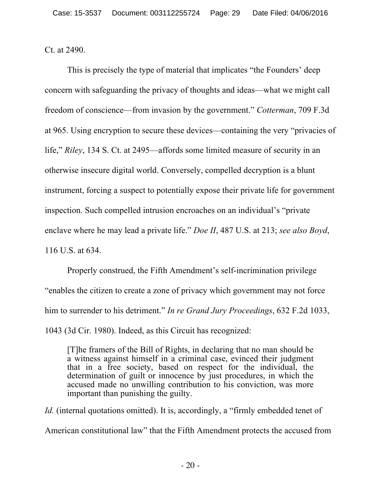Ct. at 2490.

This is precisely the type of material that implicates "the Founders' deep concern with safeguarding the privacy of thoughts and ideas—what we might call freedom of conscience—from invasion by the government." *Cotterman*, 709 F.3d at 965. Using encryption to secure these devices—containing the very "privacies of life," *Riley*, 134 S. Ct. at 2495—affords some limited measure of security in an otherwise insecure digital world. Conversely, compelled decryption is a blunt instrument, forcing a suspect to potentially expose their private life for government inspection. Such compelled intrusion encroaches on an individual's "private enclave where he may lead a private life." *Doe II*, 487 U.S. at 213; *see also Boyd*, 116 U.S. at 634.

Properly construed, the Fifth Amendment's self-incrimination privilege "enables the citizen to create a zone of privacy which government may not force him to surrender to his detriment." *In re Grand Jury Proceedings*, 632 F.2d 1033, 1043 (3d Cir. 1980). Indeed, as this Circuit has recognized:

[T]he framers of the Bill of Rights, in declaring that no man should be a witness against himself in a criminal case, evinced their judgment that in a free society, based on respect for the individual, the determination of guilt or innocence by just procedures, in which the accused made no unwilling contribution to his conviction, was more important than punishing the guilty.

*Id.* (internal quotations omitted). It is, accordingly, a "firmly embedded tenet of American constitutional law" that the Fifth Amendment protects the accused from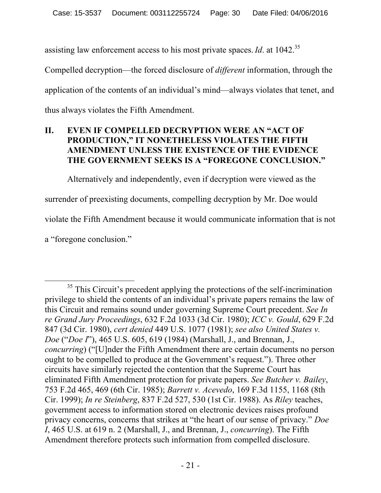assisting law enforcement access to his most private spaces.*Id*. at 1042.35

Compelled decryption—the forced disclosure of *different* information, through the application of the contents of an individual's mind—always violates that tenet, and thus always violates the Fifth Amendment.

### **II. EVEN IF COMPELLED DECRYPTION WERE AN "ACT OF PRODUCTION," IT NONETHELESS VIOLATES THE FIFTH AMENDMENT UNLESS THE EXISTENCE OF THE EVIDENCE THE GOVERNMENT SEEKS IS A "FOREGONE CONCLUSION."**

Alternatively and independently, even if decryption were viewed as the surrender of preexisting documents, compelling decryption by Mr. Doe would violate the Fifth Amendment because it would communicate information that is not

a "foregone conclusion."

 $35$  This Circuit's precedent applying the protections of the self-incrimination privilege to shield the contents of an individual's private papers remains the law of this Circuit and remains sound under governing Supreme Court precedent. *See In re Grand Jury Proceedings*, 632 F.2d 1033 (3d Cir. 1980); *ICC v. Gould*, 629 F.2d 847 (3d Cir. 1980), *cert denied* 449 U.S. 1077 (1981); *see also United States v. Doe* ("*Doe I*"), 465 U.S. 605, 619 (1984) (Marshall, J., and Brennan, J., *concurring*) ("[U]nder the Fifth Amendment there are certain documents no person ought to be compelled to produce at the Government's request."). Three other circuits have similarly rejected the contention that the Supreme Court has eliminated Fifth Amendment protection for private papers. *See Butcher v. Bailey*, 753 F.2d 465, 469 (6th Cir. 1985); *Barrett v. Acevedo*, 169 F.3d 1155, 1168 (8th Cir. 1999); *In re Steinberg*, 837 F.2d 527, 530 (1st Cir. 1988). As *Riley* teaches, government access to information stored on electronic devices raises profound privacy concerns, concerns that strikes at "the heart of our sense of privacy." *Doe I*, 465 U.S. at 619 n. 2 (Marshall, J., and Brennan, J., *concurring*). The Fifth Amendment therefore protects such information from compelled disclosure.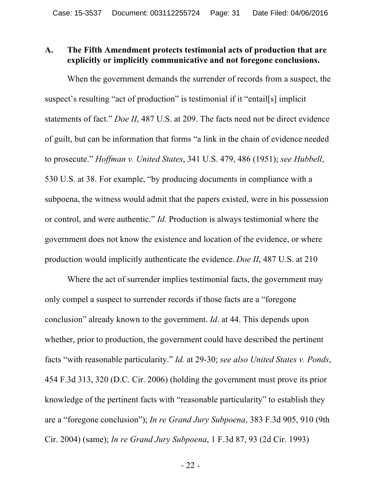#### **A. The Fifth Amendment protects testimonial acts of production that are explicitly or implicitly communicative and not foregone conclusions.**

When the government demands the surrender of records from a suspect, the suspect's resulting "act of production" is testimonial if it "entail[s] implicit statements of fact." *Doe II*, 487 U.S. at 209. The facts need not be direct evidence of guilt, but can be information that forms "a link in the chain of evidence needed to prosecute." *Hoffman v. United States*, 341 U.S. 479, 486 (1951); *see Hubbell*, 530 U.S. at 38. For example, "by producing documents in compliance with a subpoena, the witness would admit that the papers existed, were in his possession or control, and were authentic." *Id.* Production is always testimonial where the government does not know the existence and location of the evidence, or where production would implicitly authenticate the evidence. *Doe II*, 487 U.S. at 210

Where the act of surrender implies testimonial facts, the government may only compel a suspect to surrender records if those facts are a "foregone conclusion" already known to the government. *Id*. at 44. This depends upon whether, prior to production, the government could have described the pertinent facts "with reasonable particularity." *Id.* at 29-30; *see also United States v. Ponds*, 454 F.3d 313, 320 (D.C. Cir. 2006) (holding the government must prove its prior knowledge of the pertinent facts with "reasonable particularity" to establish they are a "foregone conclusion"); *In re Grand Jury Subpoena*, 383 F.3d 905, 910 (9th Cir. 2004) (same); *In re Grand Jury Subpoena*, 1 F.3d 87, 93 (2d Cir. 1993)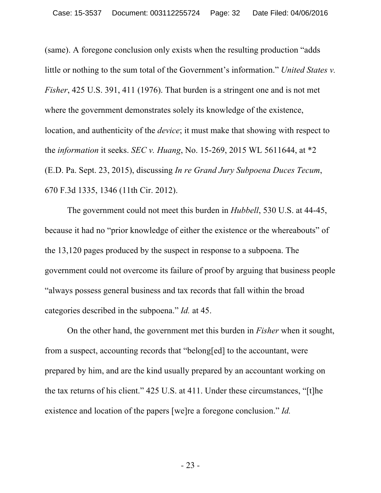(same). A foregone conclusion only exists when the resulting production "adds little or nothing to the sum total of the Government's information." *United States v. Fisher*, 425 U.S. 391, 411 (1976). That burden is a stringent one and is not met where the government demonstrates solely its knowledge of the existence, location, and authenticity of the *device*; it must make that showing with respect to the *information* it seeks. *SEC v. Huang*, No. 15-269, 2015 WL 5611644, at \*2 (E.D. Pa. Sept. 23, 2015), discussing *In re Grand Jury Subpoena Duces Tecum*, 670 F.3d 1335, 1346 (11th Cir. 2012).

The government could not meet this burden in *Hubbell*, 530 U.S. at 44-45, because it had no "prior knowledge of either the existence or the whereabouts" of the 13,120 pages produced by the suspect in response to a subpoena. The government could not overcome its failure of proof by arguing that business people "always possess general business and tax records that fall within the broad categories described in the subpoena." *Id.* at 45.

On the other hand, the government met this burden in *Fisher* when it sought, from a suspect, accounting records that "belong[ed] to the accountant, were prepared by him, and are the kind usually prepared by an accountant working on the tax returns of his client." 425 U.S. at 411. Under these circumstances, "[t]he existence and location of the papers [we]re a foregone conclusion." *Id.*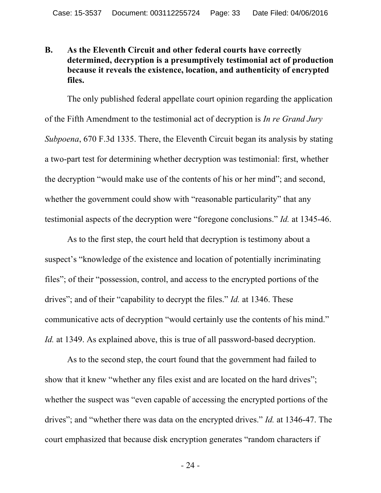### **B. As the Eleventh Circuit and other federal courts have correctly determined, decryption is a presumptively testimonial act of production because it reveals the existence, location, and authenticity of encrypted files.**

The only published federal appellate court opinion regarding the application of the Fifth Amendment to the testimonial act of decryption is *In re Grand Jury Subpoena*, 670 F.3d 1335. There, the Eleventh Circuit began its analysis by stating a two-part test for determining whether decryption was testimonial: first, whether the decryption "would make use of the contents of his or her mind"; and second, whether the government could show with "reasonable particularity" that any testimonial aspects of the decryption were "foregone conclusions." *Id.* at 1345-46.

As to the first step, the court held that decryption is testimony about a suspect's "knowledge of the existence and location of potentially incriminating files"; of their "possession, control, and access to the encrypted portions of the drives"; and of their "capability to decrypt the files." *Id.* at 1346. These communicative acts of decryption "would certainly use the contents of his mind." *Id.* at 1349. As explained above, this is true of all password-based decryption.

As to the second step, the court found that the government had failed to show that it knew "whether any files exist and are located on the hard drives"; whether the suspect was "even capable of accessing the encrypted portions of the drives"; and "whether there was data on the encrypted drives." *Id.* at 1346-47. The court emphasized that because disk encryption generates "random characters if

- 24 -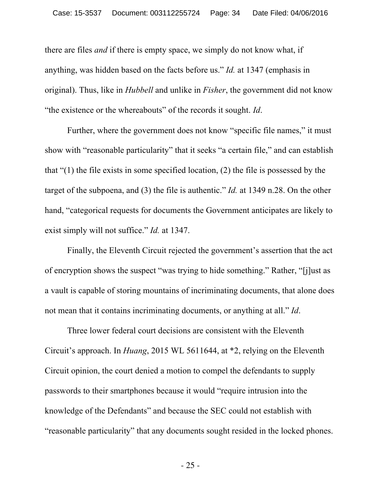there are files *and* if there is empty space, we simply do not know what, if anything, was hidden based on the facts before us." *Id.* at 1347 (emphasis in original). Thus, like in *Hubbell* and unlike in *Fisher*, the government did not know "the existence or the whereabouts" of the records it sought. *Id*.

Further, where the government does not know "specific file names," it must show with "reasonable particularity" that it seeks "a certain file," and can establish that "(1) the file exists in some specified location, (2) the file is possessed by the target of the subpoena, and (3) the file is authentic." *Id.* at 1349 n.28. On the other hand, "categorical requests for documents the Government anticipates are likely to exist simply will not suffice." *Id.* at 1347.

Finally, the Eleventh Circuit rejected the government's assertion that the act of encryption shows the suspect "was trying to hide something." Rather, "[j]ust as a vault is capable of storing mountains of incriminating documents, that alone does not mean that it contains incriminating documents, or anything at all." *Id*.

Three lower federal court decisions are consistent with the Eleventh Circuit's approach. In *Huang*, 2015 WL 5611644, at \*2, relying on the Eleventh Circuit opinion, the court denied a motion to compel the defendants to supply passwords to their smartphones because it would "require intrusion into the knowledge of the Defendants" and because the SEC could not establish with "reasonable particularity" that any documents sought resided in the locked phones.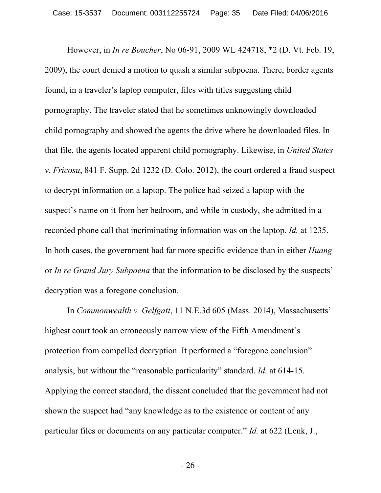However, in *In re Boucher*, No 06-91, 2009 WL 424718, \*2 (D. Vt. Feb. 19, 2009), the court denied a motion to quash a similar subpoena. There, border agents found, in a traveler's laptop computer, files with titles suggesting child pornography. The traveler stated that he sometimes unknowingly downloaded child pornography and showed the agents the drive where he downloaded files. In that file, the agents located apparent child pornography. Likewise, in *United States v. Fricosu*, 841 F. Supp. 2d 1232 (D. Colo. 2012), the court ordered a fraud suspect to decrypt information on a laptop. The police had seized a laptop with the suspect's name on it from her bedroom, and while in custody, she admitted in a recorded phone call that incriminating information was on the laptop. *Id.* at 1235. In both cases, the government had far more specific evidence than in either *Huang* or *In re Grand Jury Subpoena* that the information to be disclosed by the suspects' decryption was a foregone conclusion.

In *Commonwealth v. Gelfgatt*, 11 N.E.3d 605 (Mass. 2014), Massachusetts' highest court took an erroneously narrow view of the Fifth Amendment's protection from compelled decryption. It performed a "foregone conclusion" analysis, but without the "reasonable particularity" standard. *Id.* at 614-15. Applying the correct standard, the dissent concluded that the government had not shown the suspect had "any knowledge as to the existence or content of any particular files or documents on any particular computer." *Id.* at 622 (Lenk, J.,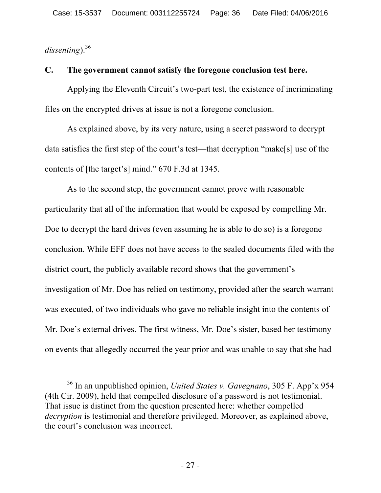*dissenting*). 36

### **C. The government cannot satisfy the foregone conclusion test here.**

Applying the Eleventh Circuit's two-part test, the existence of incriminating files on the encrypted drives at issue is not a foregone conclusion.

As explained above, by its very nature, using a secret password to decrypt data satisfies the first step of the court's test—that decryption "make[s] use of the contents of [the target's] mind." 670 F.3d at 1345.

As to the second step, the government cannot prove with reasonable particularity that all of the information that would be exposed by compelling Mr. Doe to decrypt the hard drives (even assuming he is able to do so) is a foregone conclusion. While EFF does not have access to the sealed documents filed with the district court, the publicly available record shows that the government's investigation of Mr. Doe has relied on testimony, provided after the search warrant was executed, of two individuals who gave no reliable insight into the contents of Mr. Doe's external drives. The first witness, Mr. Doe's sister, based her testimony on events that allegedly occurred the year prior and was unable to say that she had

 <sup>36</sup> In an unpublished opinion, *United States v. Gavegnano*, 305 F. App'x 954 (4th Cir. 2009), held that compelled disclosure of a password is not testimonial. That issue is distinct from the question presented here: whether compelled *decryption* is testimonial and therefore privileged. Moreover, as explained above, the court's conclusion was incorrect.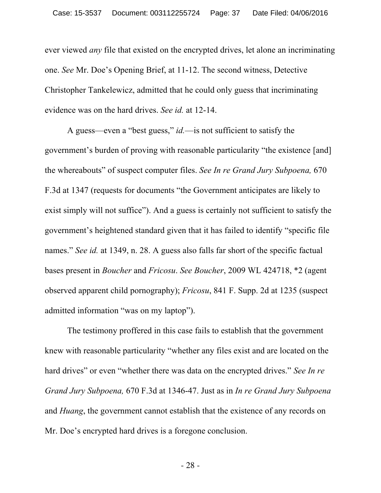ever viewed *any* file that existed on the encrypted drives, let alone an incriminating one. *See* Mr. Doe's Opening Brief, at 11-12. The second witness, Detective Christopher Tankelewicz, admitted that he could only guess that incriminating evidence was on the hard drives. *See id.* at 12-14.

A guess—even a "best guess," *id.*—is not sufficient to satisfy the government's burden of proving with reasonable particularity "the existence [and] the whereabouts" of suspect computer files. *See In re Grand Jury Subpoena,* 670 F.3d at 1347 (requests for documents "the Government anticipates are likely to exist simply will not suffice"). And a guess is certainly not sufficient to satisfy the government's heightened standard given that it has failed to identify "specific file names." *See id.* at 1349, n. 28. A guess also falls far short of the specific factual bases present in *Boucher* and *Fricosu*. *See Boucher*, 2009 WL 424718, \*2 (agent observed apparent child pornography); *Fricosu*, 841 F. Supp. 2d at 1235 (suspect admitted information "was on my laptop").

The testimony proffered in this case fails to establish that the government knew with reasonable particularity "whether any files exist and are located on the hard drives" or even "whether there was data on the encrypted drives." *See In re Grand Jury Subpoena,* 670 F.3d at 1346-47. Just as in *In re Grand Jury Subpoena* and *Huang*, the government cannot establish that the existence of any records on Mr. Doe's encrypted hard drives is a foregone conclusion.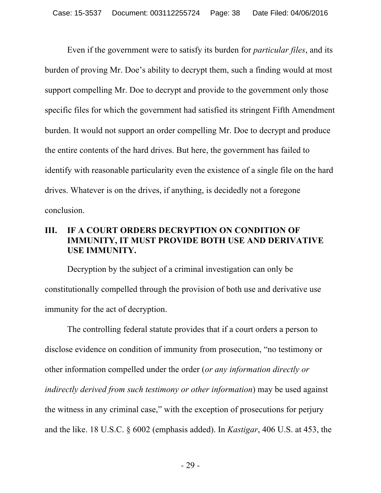Even if the government were to satisfy its burden for *particular files*, and its burden of proving Mr. Doe's ability to decrypt them, such a finding would at most support compelling Mr. Doe to decrypt and provide to the government only those specific files for which the government had satisfied its stringent Fifth Amendment burden. It would not support an order compelling Mr. Doe to decrypt and produce the entire contents of the hard drives. But here, the government has failed to identify with reasonable particularity even the existence of a single file on the hard drives. Whatever is on the drives, if anything, is decidedly not a foregone conclusion.

### **III. IF A COURT ORDERS DECRYPTION ON CONDITION OF IMMUNITY, IT MUST PROVIDE BOTH USE AND DERIVATIVE USE IMMUNITY.**

Decryption by the subject of a criminal investigation can only be constitutionally compelled through the provision of both use and derivative use immunity for the act of decryption.

The controlling federal statute provides that if a court orders a person to disclose evidence on condition of immunity from prosecution, "no testimony or other information compelled under the order (*or any information directly or indirectly derived from such testimony or other information*) may be used against the witness in any criminal case," with the exception of prosecutions for perjury and the like. 18 U.S.C. § 6002 (emphasis added). In *Kastigar*, 406 U.S. at 453, the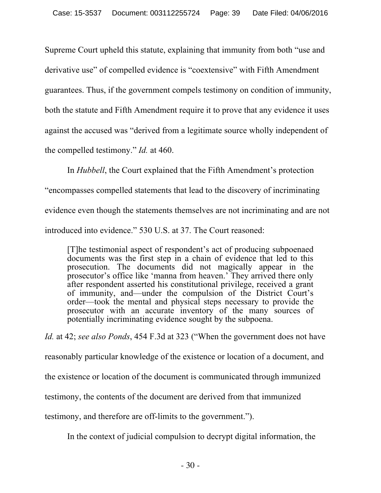Supreme Court upheld this statute, explaining that immunity from both "use and derivative use" of compelled evidence is "coextensive" with Fifth Amendment guarantees. Thus, if the government compels testimony on condition of immunity, both the statute and Fifth Amendment require it to prove that any evidence it uses against the accused was "derived from a legitimate source wholly independent of the compelled testimony." *Id.* at 460.

In *Hubbell*, the Court explained that the Fifth Amendment's protection

"encompasses compelled statements that lead to the discovery of incriminating

evidence even though the statements themselves are not incriminating and are not

introduced into evidence." 530 U.S. at 37. The Court reasoned:

[T]he testimonial aspect of respondent's act of producing subpoenaed documents was the first step in a chain of evidence that led to this prosecution. The documents did not magically appear in the prosecutor's office like 'manna from heaven.' They arrived there only after respondent asserted his constitutional privilege, received a grant of immunity, and—under the compulsion of the District Court's order—took the mental and physical steps necessary to provide the prosecutor with an accurate inventory of the many sources of potentially incriminating evidence sought by the subpoena.

*Id.* at 42; *see also Ponds*, 454 F.3d at 323 ("When the government does not have reasonably particular knowledge of the existence or location of a document, and the existence or location of the document is communicated through immunized testimony, the contents of the document are derived from that immunized testimony, and therefore are off-limits to the government.").

In the context of judicial compulsion to decrypt digital information, the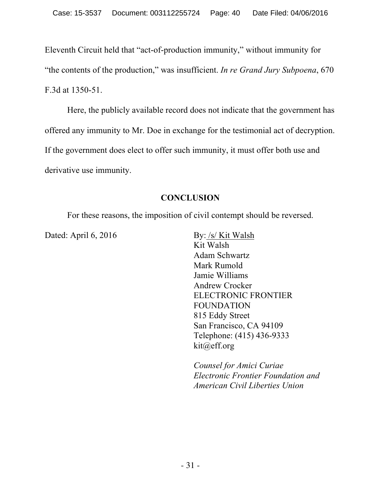Eleventh Circuit held that "act-of-production immunity," without immunity for "the contents of the production," was insufficient. *In re Grand Jury Subpoena*, 670 F.3d at 1350-51.

Here, the publicly available record does not indicate that the government has offered any immunity to Mr. Doe in exchange for the testimonial act of decryption. If the government does elect to offer such immunity, it must offer both use and derivative use immunity.

## **CONCLUSION**

For these reasons, the imposition of civil contempt should be reversed.

Dated: April 6, 2016 By: /s/ Kit Walsh

Kit Walsh Adam Schwartz Mark Rumold Jamie Williams Andrew Crocker ELECTRONIC FRONTIER FOUNDATION 815 Eddy Street San Francisco, CA 94109 Telephone: (415) 436-9333 kit@eff.org

*Counsel for Amici Curiae Electronic Frontier Foundation and American Civil Liberties Union*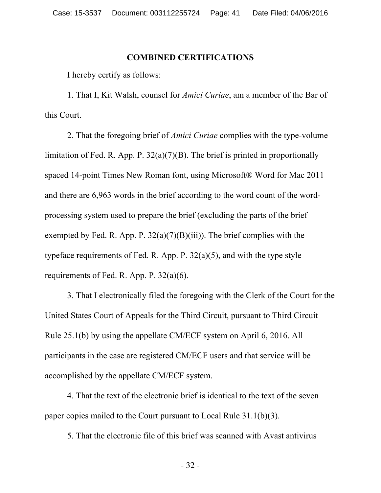#### **COMBINED CERTIFICATIONS**

I hereby certify as follows:

1. That I, Kit Walsh, counsel for *Amici Curiae*, am a member of the Bar of this Court.

2. That the foregoing brief of *Amici Curiae* complies with the type-volume limitation of Fed. R. App. P. 32(a)(7)(B). The brief is printed in proportionally spaced 14-point Times New Roman font, using Microsoft® Word for Mac 2011 and there are 6,963 words in the brief according to the word count of the wordprocessing system used to prepare the brief (excluding the parts of the brief exempted by Fed. R. App. P.  $32(a)(7)(B)(iii)$ ). The brief complies with the typeface requirements of Fed. R. App. P. 32(a)(5), and with the type style requirements of Fed. R. App. P. 32(a)(6).

3. That I electronically filed the foregoing with the Clerk of the Court for the United States Court of Appeals for the Third Circuit, pursuant to Third Circuit Rule 25.1(b) by using the appellate CM/ECF system on April 6, 2016. All participants in the case are registered CM/ECF users and that service will be accomplished by the appellate CM/ECF system.

4. That the text of the electronic brief is identical to the text of the seven paper copies mailed to the Court pursuant to Local Rule 31.1(b)(3).

5. That the electronic file of this brief was scanned with Avast antivirus